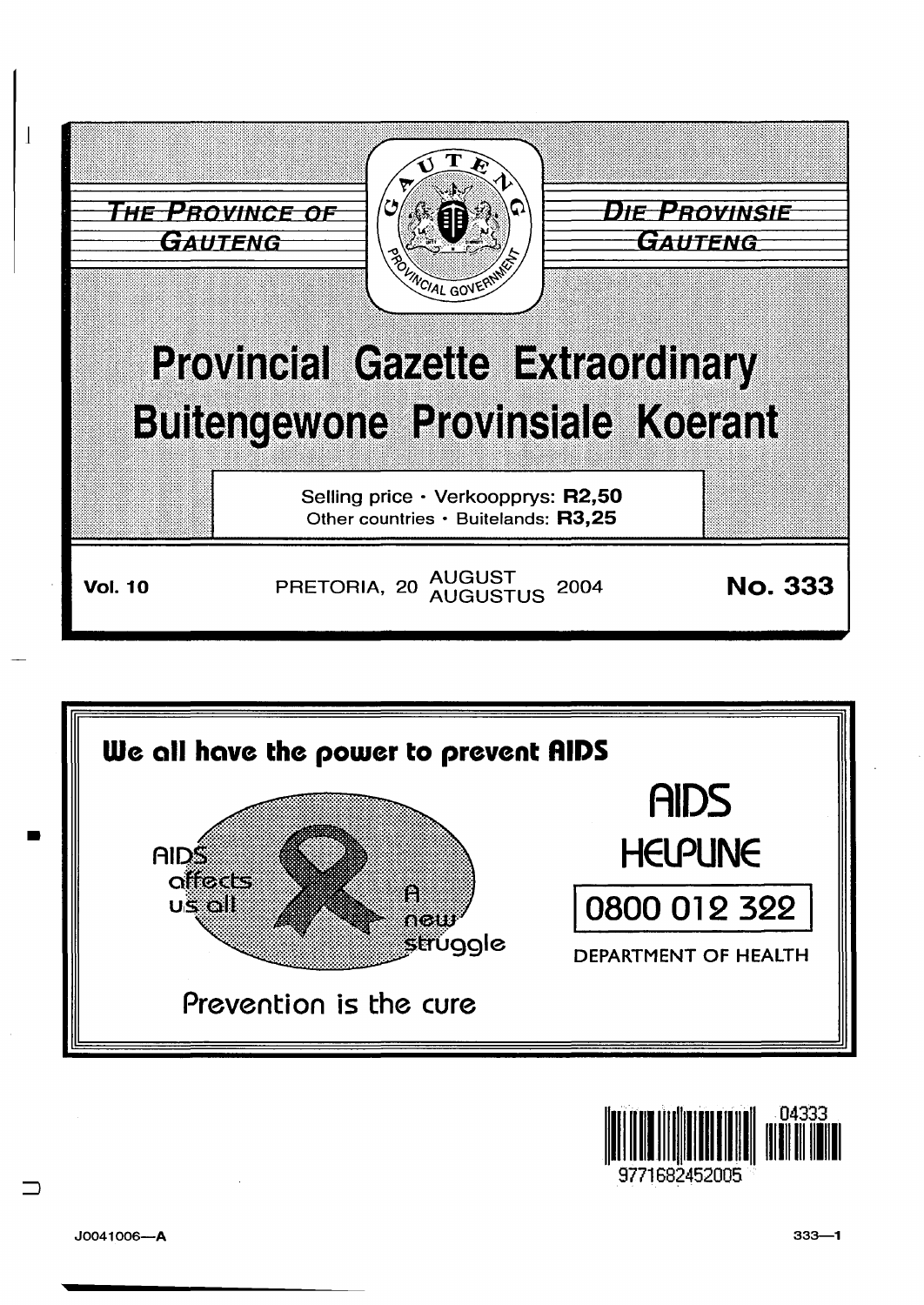



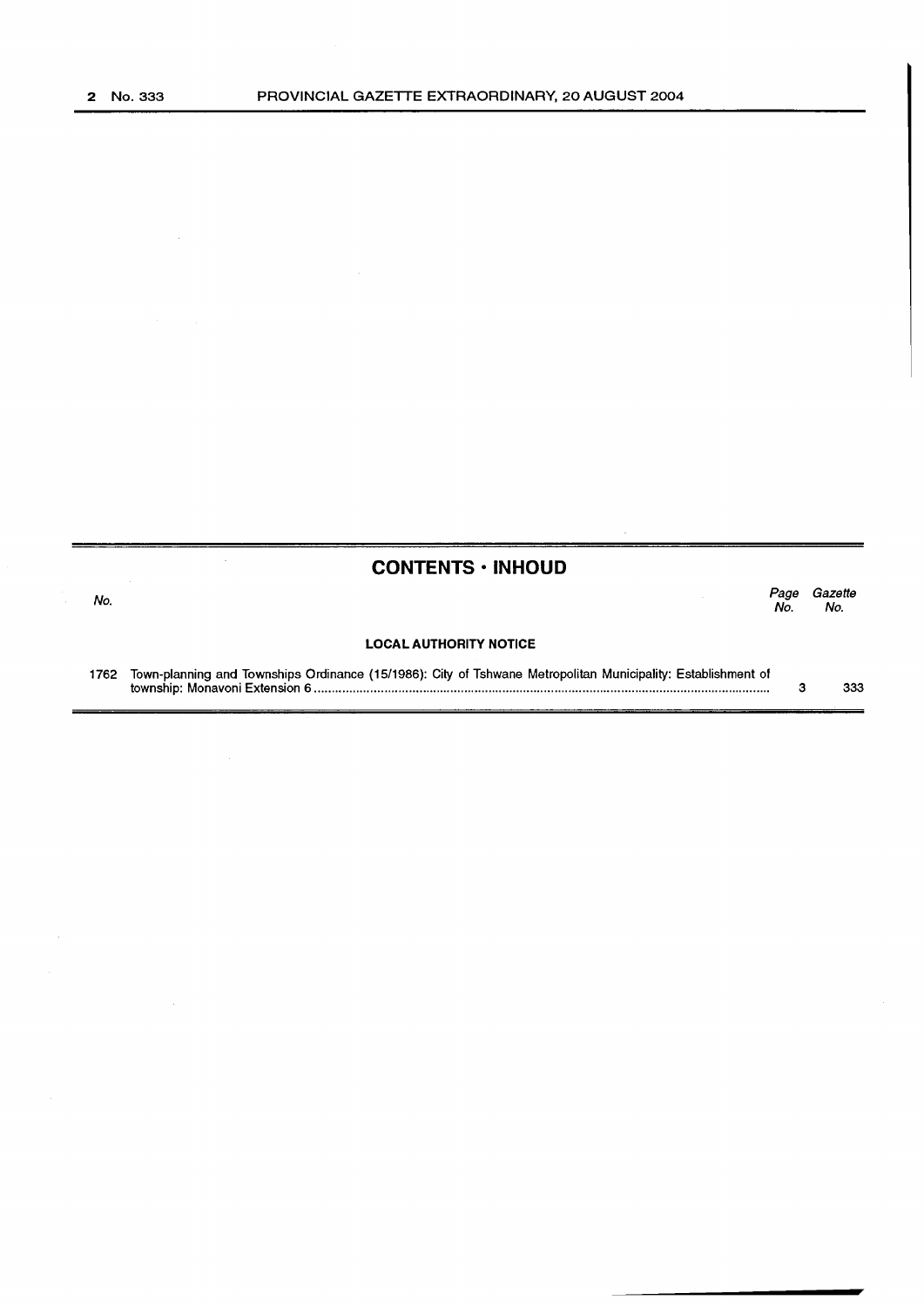|      | <b>CONTENTS · INHOUD</b>                                                                                     |            |                |
|------|--------------------------------------------------------------------------------------------------------------|------------|----------------|
| No.  |                                                                                                              | Page<br>Nο | Gazette<br>No. |
|      | <b>LOCAL AUTHORITY NOTICE</b>                                                                                |            |                |
| 1762 | Town-planning and Townships Ordinance (15/1986): City of Tshwane Metropolitan Municipality: Establishment of |            | 333            |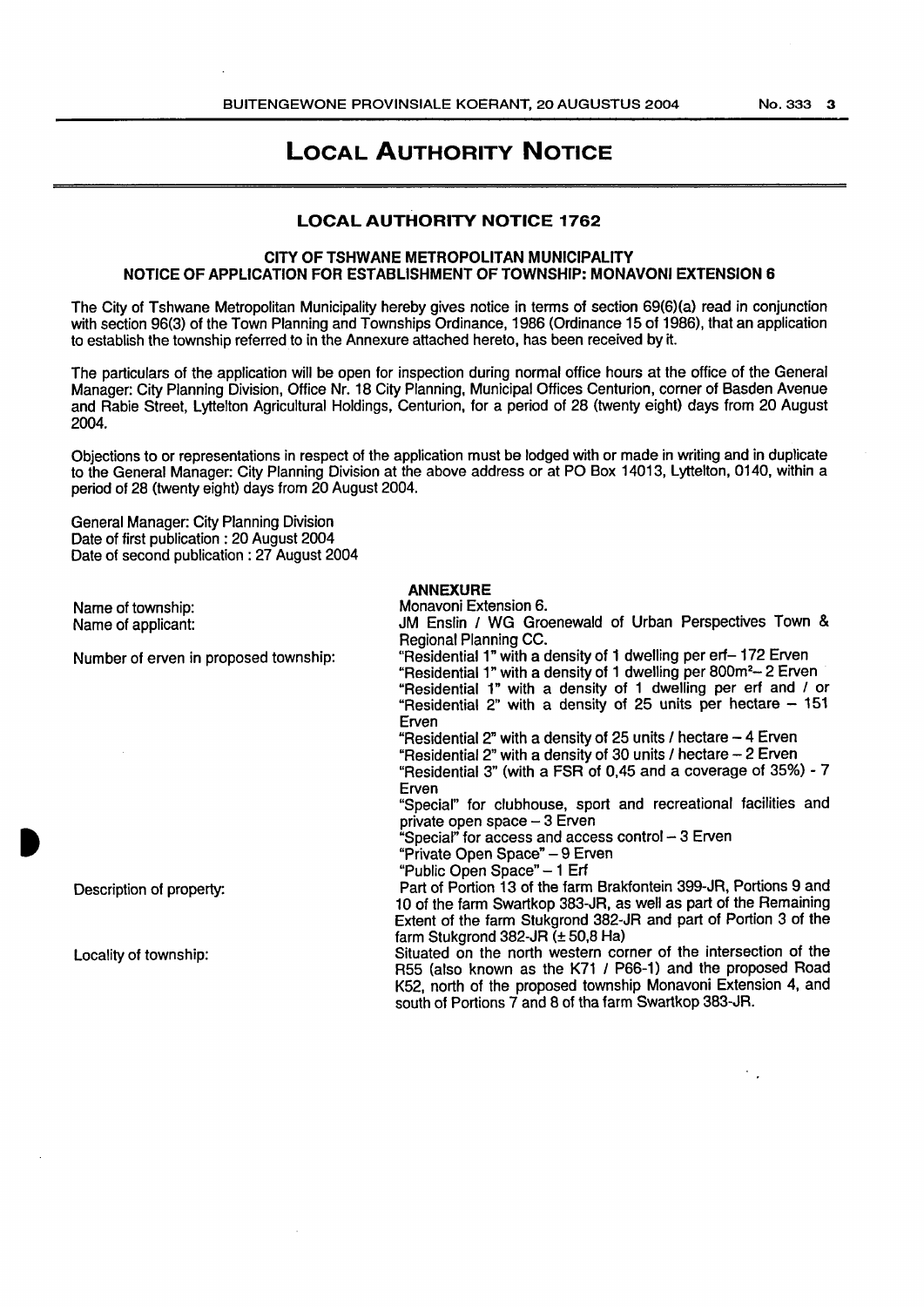$\mathcal{F}_{\mathcal{A}}$ 

# LOCAL AUTHORITY NOTICE

## LOCAL AUTHORITY NOTICE 1762

### CITY OF TSHWANE METROPOLITAN MUNICIPALITY NOTICE OF APPLICATION FOR ESTABLISHMENT OF TOWNSHIP: MONAVONI EXTENSION 6

The City of Tshwane Metropolitan Municipality hereby gives notice in terms of section 69(6)(a) read in conjunction with section 96(3) of the Town Planning and Townships Ordinance, 1986 (Ordinance 15 of 1986), that an application to establish the township referred to in the Annexure attached hereto, has been received by it.

The particulars of the application will be open for inspection during normal office hours at the office of the General Manager: City Planning Division, Office Nr. 18 City Planning, Municipal Offices Centurion, corner of Basden Avenue and Rabie Street, Lyttelton Agricultural Holdings, Centurion, for a period of 28 (twenty eight) days from 20 August 2004.

Objections to or representations in respect of the application must be lodged with or made in writing and in duplicate to the General Manager: City Planning Division at the above address or at PO Box 14013, Lyttelton, 0140, within a period of 28 (twenty eight) days from 20 August 2004.

ANNEXURE

General Manager: City Planning Division Date of first publication : 20 August 2004 Date of second publication : 27 August 2004

| Name of township:                     | Monavoni Extension 6.                                                                                                                         |  |  |
|---------------------------------------|-----------------------------------------------------------------------------------------------------------------------------------------------|--|--|
| Name of applicant:                    | JM Enslin / WG Groenewald of Urban Perspectives Town &                                                                                        |  |  |
|                                       | <b>Regional Planning CC.</b>                                                                                                                  |  |  |
| Number of erven in proposed township: | "Residential 1" with a density of 1 dwelling per erf-172 Erven<br>"Residential 1" with a density of 1 dwelling per 800m <sup>2</sup> -2 Erven |  |  |
|                                       | "Residential 1" with a density of 1 dwelling per erf and / or                                                                                 |  |  |
|                                       | "Residential 2" with a density of 25 units per hectare $-151$                                                                                 |  |  |
|                                       | Erven                                                                                                                                         |  |  |
|                                       | "Residential 2" with a density of 25 units / hectare - 4 Erven                                                                                |  |  |
|                                       | "Residential 2" with a density of 30 units / hectare $-2$ Erven                                                                               |  |  |
|                                       | "Residential 3" (with a FSR of 0,45 and a coverage of 35%) - 7                                                                                |  |  |
|                                       | Erven                                                                                                                                         |  |  |
|                                       | "Special" for clubhouse, sport and recreational facilities and                                                                                |  |  |
|                                       | private open space - 3 Erven                                                                                                                  |  |  |
|                                       | "Special" for access and access control - 3 Erven                                                                                             |  |  |
|                                       | "Private Open Space" - 9 Erven                                                                                                                |  |  |
|                                       | "Public Open Space" - 1 Erf                                                                                                                   |  |  |
| Description of property:              | Part of Portion 13 of the farm Brakfontein 399-JR, Portions 9 and                                                                             |  |  |
|                                       | 10 of the farm Swartkop 383-JR, as well as part of the Remaining                                                                              |  |  |
|                                       | Extent of the farm Stukgrond 382-JR and part of Portion 3 of the                                                                              |  |  |
|                                       | farm Stukgrond 382-JR $(\pm 50.8$ Ha)                                                                                                         |  |  |
| Locality of township:                 | Situated on the north western corner of the intersection of the                                                                               |  |  |
|                                       | R55 (also known as the K71 / P66-1) and the proposed Road                                                                                     |  |  |
|                                       | K52, north of the proposed township Monavoni Extension 4, and                                                                                 |  |  |
|                                       | south of Portions 7 and 8 of tha farm Swartkop 383-JR.                                                                                        |  |  |
|                                       |                                                                                                                                               |  |  |